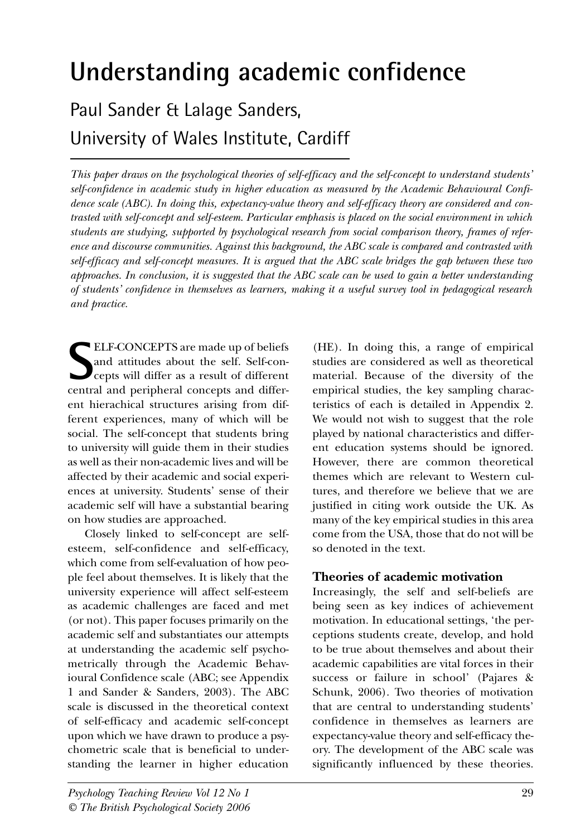# **Understanding academic confidence**

Paul Sander & Lalage Sanders, University of Wales Institute, Cardiff

*This paper draws on the psychological theories of self-efficacy and the self-concept to understand students' self-confidence in academic study in higher education as measured by the Academic Behavioural Confidence scale (ABC). In doing this, expectancy-value theory and self-efficacy theory are considered and contrasted with self-concept and self-esteem. Particular emphasis is placed on the social environment in which students are studying, supported by psychological research from social comparison theory, frames of reference and discourse communities. Against this background, the ABC scale is compared and contrasted with self-efficacy and self-concept measures. It is argued that the ABC scale bridges the gap between these two approaches. In conclusion, it is suggested that the ABC scale can be used to gain a better understanding of students' confidence in themselves as learners, making it a useful survey tool in pedagogical research and practice.*

ELF-CONCEPTS are made up of beliefs<br>
and attitudes about the self. Self-con-<br>
cepts will differ as a result of different<br>
central and peripheral concepts and differ-ELF-CONCEPTS are made up of beliefs and attitudes about the self. Self-concepts will differ as a result of different ent hierachical structures arising from different experiences, many of which will be social. The self-concept that students bring to university will guide them in their studies as well as their non-academic lives and will be affected by their academic and social experiences at university. Students' sense of their academic self will have a substantial bearing on how studies are approached.

Closely linked to self-concept are selfesteem, self-confidence and self-efficacy, which come from self-evaluation of how people feel about themselves. It is likely that the university experience will affect self-esteem as academic challenges are faced and met (or not). This paper focuses primarily on the academic self and substantiates our attempts at understanding the academic self psychometrically through the Academic Behavioural Confidence scale (ABC; see Appendix 1 and Sander & Sanders, 2003). The ABC scale is discussed in the theoretical context of self-efficacy and academic self-concept upon which we have drawn to produce a psychometric scale that is beneficial to understanding the learner in higher education

(HE). In doing this, a range of empirical studies are considered as well as theoretical material. Because of the diversity of the empirical studies, the key sampling characteristics of each is detailed in Appendix 2. We would not wish to suggest that the role played by national characteristics and different education systems should be ignored. However, there are common theoretical themes which are relevant to Western cultures, and therefore we believe that we are justified in citing work outside the UK. As many of the key empirical studies in this area come from the USA, those that do not will be so denoted in the text.

# **Theories of academic motivation**

Increasingly, the self and self-beliefs are being seen as key indices of achievement motivation. In educational settings, 'the perceptions students create, develop, and hold to be true about themselves and about their academic capabilities are vital forces in their success or failure in school' (Pajares & Schunk, 2006). Two theories of motivation that are central to understanding students' confidence in themselves as learners are expectancy-value theory and self-efficacy theory. The development of the ABC scale was significantly influenced by these theories.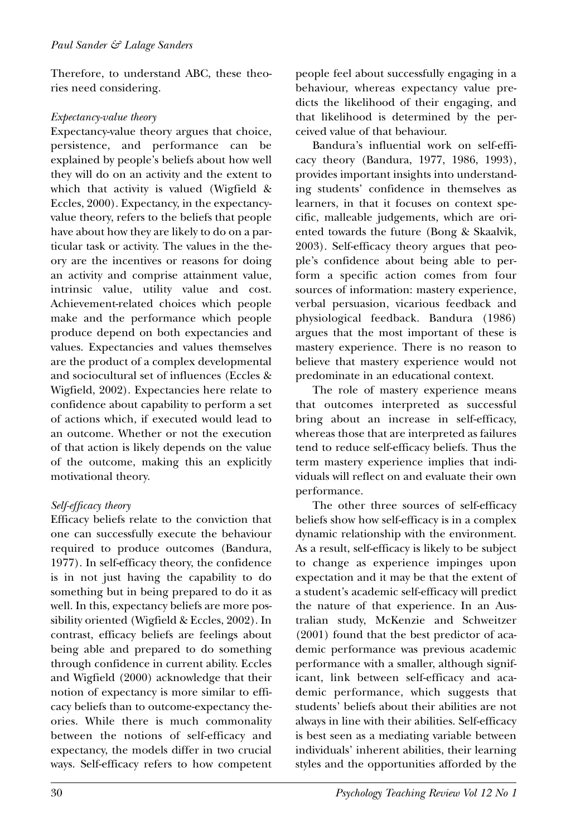Therefore, to understand ABC, these theories need considering.

#### *Expectancy-value theory*

Expectancy-value theory argues that choice, persistence, and performance can be explained by people's beliefs about how well they will do on an activity and the extent to which that activity is valued (Wigfield & Eccles, 2000). Expectancy, in the expectancyvalue theory, refers to the beliefs that people have about how they are likely to do on a particular task or activity. The values in the theory are the incentives or reasons for doing an activity and comprise attainment value, intrinsic value, utility value and cost. Achievement-related choices which people make and the performance which people produce depend on both expectancies and values. Expectancies and values themselves are the product of a complex developmental and sociocultural set of influences (Eccles & Wigfield, 2002). Expectancies here relate to confidence about capability to perform a set of actions which, if executed would lead to an outcome. Whether or not the execution of that action is likely depends on the value of the outcome, making this an explicitly motivational theory.

## *Self-efficacy theory*

Efficacy beliefs relate to the conviction that one can successfully execute the behaviour required to produce outcomes (Bandura, 1977). In self-efficacy theory, the confidence is in not just having the capability to do something but in being prepared to do it as well. In this, expectancy beliefs are more possibility oriented (Wigfield & Eccles, 2002). In contrast, efficacy beliefs are feelings about being able and prepared to do something through confidence in current ability. Eccles and Wigfield (2000) acknowledge that their notion of expectancy is more similar to efficacy beliefs than to outcome-expectancy theories. While there is much commonality between the notions of self-efficacy and expectancy, the models differ in two crucial ways. Self-efficacy refers to how competent people feel about successfully engaging in a behaviour, whereas expectancy value predicts the likelihood of their engaging, and that likelihood is determined by the perceived value of that behaviour.

Bandura's influential work on self-efficacy theory (Bandura, 1977, 1986, 1993), provides important insights into understanding students' confidence in themselves as learners, in that it focuses on context specific, malleable judgements, which are oriented towards the future (Bong & Skaalvik, 2003). Self-efficacy theory argues that people's confidence about being able to perform a specific action comes from four sources of information: mastery experience, verbal persuasion, vicarious feedback and physiological feedback. Bandura (1986) argues that the most important of these is mastery experience. There is no reason to believe that mastery experience would not predominate in an educational context.

The role of mastery experience means that outcomes interpreted as successful bring about an increase in self-efficacy, whereas those that are interpreted as failures tend to reduce self-efficacy beliefs. Thus the term mastery experience implies that individuals will reflect on and evaluate their own performance.

The other three sources of self-efficacy beliefs show how self-efficacy is in a complex dynamic relationship with the environment. As a result, self-efficacy is likely to be subject to change as experience impinges upon expectation and it may be that the extent of a student's academic self-efficacy will predict the nature of that experience. In an Australian study, McKenzie and Schweitzer (2001) found that the best predictor of academic performance was previous academic performance with a smaller, although significant, link between self-efficacy and academic performance, which suggests that students' beliefs about their abilities are not always in line with their abilities. Self-efficacy is best seen as a mediating variable between individuals' inherent abilities, their learning styles and the opportunities afforded by the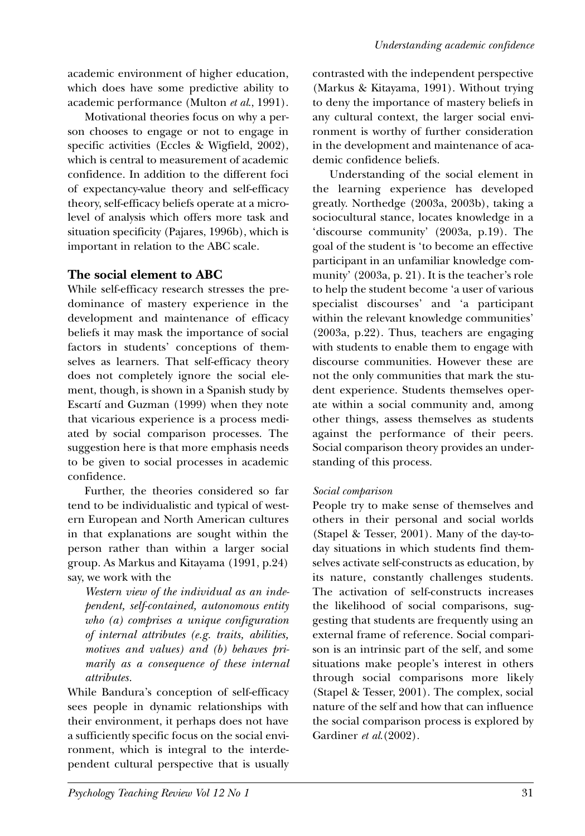academic environment of higher education, which does have some predictive ability to academic performance (Multon *et al*., 1991).

Motivational theories focus on why a person chooses to engage or not to engage in specific activities (Eccles & Wigfield, 2002), which is central to measurement of academic confidence. In addition to the different foci of expectancy-value theory and self-efficacy theory, self-efficacy beliefs operate at a microlevel of analysis which offers more task and situation specificity (Pajares, 1996b), which is important in relation to the ABC scale.

## **The social element to ABC**

While self-efficacy research stresses the predominance of mastery experience in the development and maintenance of efficacy beliefs it may mask the importance of social factors in students' conceptions of themselves as learners. That self-efficacy theory does not completely ignore the social element, though, is shown in a Spanish study by Escartí and Guzman (1999) when they note that vicarious experience is a process mediated by social comparison processes. The suggestion here is that more emphasis needs to be given to social processes in academic confidence.

Further, the theories considered so far tend to be individualistic and typical of western European and North American cultures in that explanations are sought within the person rather than within a larger social group. As Markus and Kitayama (1991, p.24) say, we work with the

*Western view of the individual as an independent, self-contained, autonomous entity who (a) comprises a unique configuration of internal attributes (e.g. traits, abilities, motives and values) and (b) behaves primarily as a consequence of these internal attributes.*

While Bandura's conception of self-efficacy sees people in dynamic relationships with their environment, it perhaps does not have a sufficiently specific focus on the social environment, which is integral to the interdependent cultural perspective that is usually contrasted with the independent perspective (Markus & Kitayama, 1991). Without trying to deny the importance of mastery beliefs in any cultural context, the larger social environment is worthy of further consideration in the development and maintenance of academic confidence beliefs.

Understanding of the social element in the learning experience has developed greatly. Northedge (2003a, 2003b), taking a sociocultural stance, locates knowledge in a 'discourse community' (2003a, p.19). The goal of the student is 'to become an effective participant in an unfamiliar knowledge community' (2003a, p. 21). It is the teacher's role to help the student become 'a user of various specialist discourses' and 'a participant within the relevant knowledge communities' (2003a, p.22). Thus, teachers are engaging with students to enable them to engage with discourse communities. However these are not the only communities that mark the student experience. Students themselves operate within a social community and, among other things, assess themselves as students against the performance of their peers. Social comparison theory provides an understanding of this process.

## *Social comparison*

People try to make sense of themselves and others in their personal and social worlds (Stapel & Tesser, 2001). Many of the day-today situations in which students find themselves activate self-constructs as education, by its nature, constantly challenges students. The activation of self-constructs increases the likelihood of social comparisons, suggesting that students are frequently using an external frame of reference. Social comparison is an intrinsic part of the self, and some situations make people's interest in others through social comparisons more likely (Stapel & Tesser, 2001). The complex, social nature of the self and how that can influence the social comparison process is explored by Gardiner *et al*.(2002).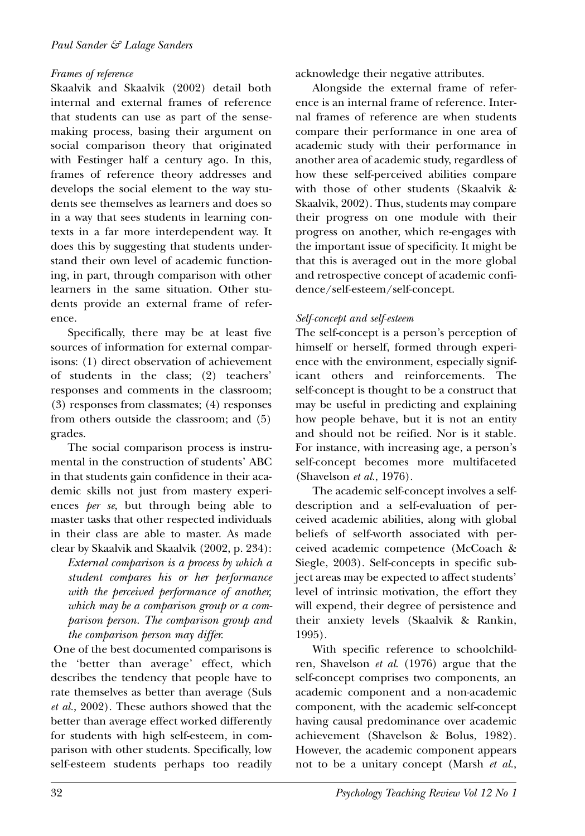#### *Frames of reference*

Skaalvik and Skaalvik (2002) detail both internal and external frames of reference that students can use as part of the sensemaking process, basing their argument on social comparison theory that originated with Festinger half a century ago. In this, frames of reference theory addresses and develops the social element to the way students see themselves as learners and does so in a way that sees students in learning contexts in a far more interdependent way. It does this by suggesting that students understand their own level of academic functioning, in part, through comparison with other learners in the same situation. Other students provide an external frame of reference.

Specifically, there may be at least five sources of information for external comparisons: (1) direct observation of achievement of students in the class; (2) teachers' responses and comments in the classroom; (3) responses from classmates; (4) responses from others outside the classroom; and (5) grades.

The social comparison process is instrumental in the construction of students' ABC in that students gain confidence in their academic skills not just from mastery experiences *per se*, but through being able to master tasks that other respected individuals in their class are able to master. As made clear by Skaalvik and Skaalvik (2002, p. 234):

*External comparison is a process by which a student compares his or her performance with the perceived performance of another, which may be a comparison group or a comparison person. The comparison group and the comparison person may differ.*

One of the best documented comparisons is the 'better than average' effect, which describes the tendency that people have to rate themselves as better than average (Suls *et al.*, 2002). These authors showed that the better than average effect worked differently for students with high self-esteem, in comparison with other students. Specifically, low self-esteem students perhaps too readily acknowledge their negative attributes.

Alongside the external frame of reference is an internal frame of reference. Internal frames of reference are when students compare their performance in one area of academic study with their performance in another area of academic study, regardless of how these self-perceived abilities compare with those of other students (Skaalvik & Skaalvik, 2002). Thus, students may compare their progress on one module with their progress on another, which re-engages with the important issue of specificity. It might be that this is averaged out in the more global and retrospective concept of academic confidence/self-esteem/self-concept.

#### *Self-concept and self-esteem*

The self-concept is a person's perception of himself or herself, formed through experience with the environment, especially significant others and reinforcements. The self-concept is thought to be a construct that may be useful in predicting and explaining how people behave, but it is not an entity and should not be reified. Nor is it stable. For instance, with increasing age, a person's self-concept becomes more multifaceted (Shavelson *et al.*, 1976).

The academic self-concept involves a selfdescription and a self-evaluation of perceived academic abilities, along with global beliefs of self-worth associated with perceived academic competence (McCoach & Siegle, 2003). Self-concepts in specific subject areas may be expected to affect students' level of intrinsic motivation, the effort they will expend, their degree of persistence and their anxiety levels (Skaalvik & Rankin, 1995).

With specific reference to schoolchildren, Shavelson *et al*. (1976) argue that the self-concept comprises two components, an academic component and a non-academic component, with the academic self-concept having causal predominance over academic achievement (Shavelson & Bolus, 1982). However, the academic component appears not to be a unitary concept (Marsh *et al.*,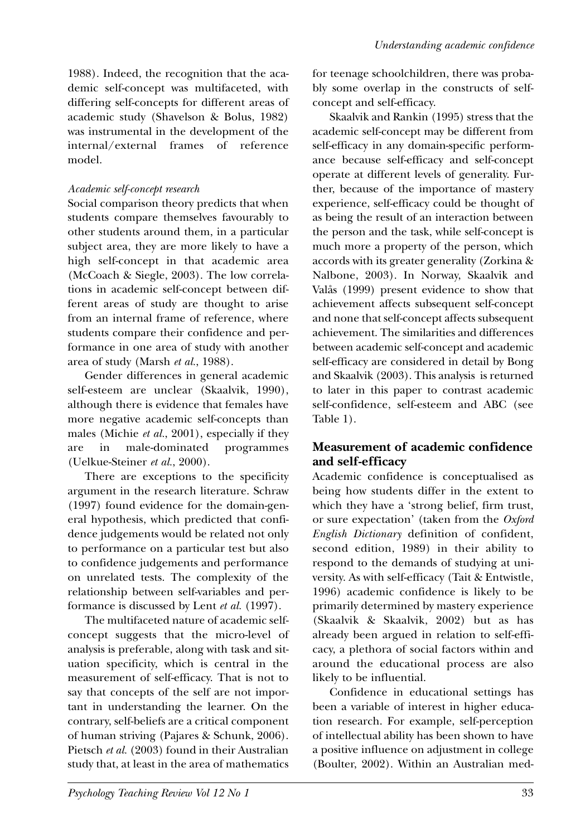1988). Indeed, the recognition that the academic self-concept was multifaceted, with differing self-concepts for different areas of academic study (Shavelson & Bolus, 1982) was instrumental in the development of the internal/external frames of reference model.

## *Academic self-concept research*

Social comparison theory predicts that when students compare themselves favourably to other students around them, in a particular subject area, they are more likely to have a high self-concept in that academic area (McCoach & Siegle, 2003). The low correlations in academic self-concept between different areas of study are thought to arise from an internal frame of reference, where students compare their confidence and performance in one area of study with another area of study (Marsh *et al.*, 1988).

Gender differences in general academic self-esteem are unclear (Skaalvik, 1990), although there is evidence that females have more negative academic self-concepts than males (Michie *et al.*, 2001), especially if they are in male-dominated programmes (Uelkue-Steiner *et al.*, 2000).

There are exceptions to the specificity argument in the research literature. Schraw (1997) found evidence for the domain-general hypothesis, which predicted that confidence judgements would be related not only to performance on a particular test but also to confidence judgements and performance on unrelated tests. The complexity of the relationship between self-variables and performance is discussed by Lent *et al.* (1997).

The multifaceted nature of academic selfconcept suggests that the micro-level of analysis is preferable, along with task and situation specificity, which is central in the measurement of self-efficacy. That is not to say that concepts of the self are not important in understanding the learner. On the contrary, self-beliefs are a critical component of human striving (Pajares & Schunk, 2006). Pietsch et al. (2003) found in their Australian study that, at least in the area of mathematics

for teenage schoolchildren, there was probably some overlap in the constructs of selfconcept and self-efficacy.

Skaalvik and Rankin (1995) stress that the academic self-concept may be different from self-efficacy in any domain-specific performance because self-efficacy and self-concept operate at different levels of generality. Further, because of the importance of mastery experience, self-efficacy could be thought of as being the result of an interaction between the person and the task, while self-concept is much more a property of the person, which accords with its greater generality (Zorkina & Nalbone, 2003). In Norway, Skaalvik and Valås (1999) present evidence to show that achievement affects subsequent self-concept and none that self-concept affects subsequent achievement. The similarities and differences between academic self-concept and academic self-efficacy are considered in detail by Bong and Skaalvik (2003). This analysis is returned to later in this paper to contrast academic self-confidence, self-esteem and ABC (see Table 1).

## **Measurement of academic confidence and self-efficacy**

Academic confidence is conceptualised as being how students differ in the extent to which they have a 'strong belief, firm trust, or sure expectation' (taken from the *Oxford English Dictionary* definition of confident, second edition, 1989) in their ability to respond to the demands of studying at university. As with self-efficacy (Tait & Entwistle, 1996) academic confidence is likely to be primarily determined by mastery experience (Skaalvik & Skaalvik, 2002) but as has already been argued in relation to self-efficacy, a plethora of social factors within and around the educational process are also likely to be influential.

Confidence in educational settings has been a variable of interest in higher education research. For example, self-perception of intellectual ability has been shown to have a positive influence on adjustment in college (Boulter, 2002). Within an Australian med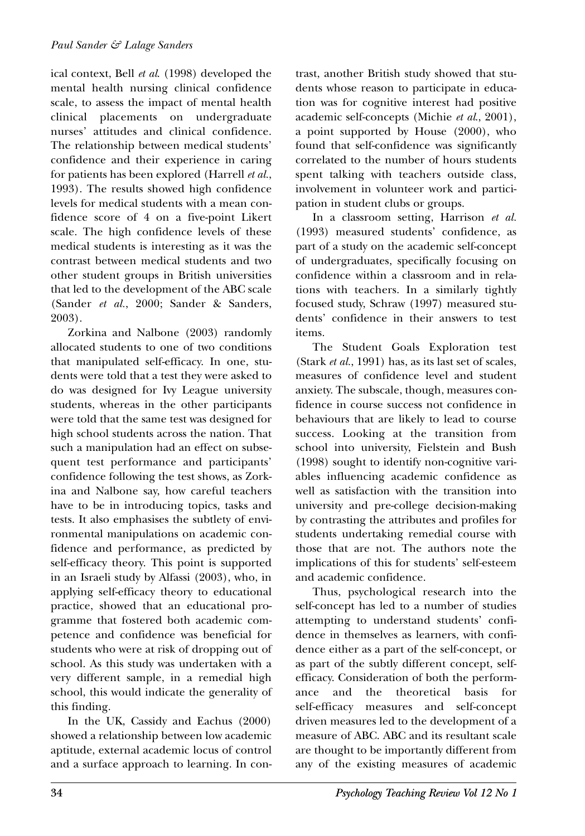ical context, Bell *et al*. (1998) developed the mental health nursing clinical confidence scale, to assess the impact of mental health clinical placements on undergraduate nurses' attitudes and clinical confidence. The relationship between medical students' confidence and their experience in caring for patients has been explored (Harrell *et al.*, 1993). The results showed high confidence levels for medical students with a mean confidence score of 4 on a five-point Likert scale. The high confidence levels of these medical students is interesting as it was the contrast between medical students and two other student groups in British universities that led to the development of the ABC scale (Sander *et al.*, 2000; Sander & Sanders, 2003).

Zorkina and Nalbone (2003) randomly allocated students to one of two conditions that manipulated self-efficacy. In one, students were told that a test they were asked to do was designed for Ivy League university students, whereas in the other participants were told that the same test was designed for high school students across the nation. That such a manipulation had an effect on subsequent test performance and participants' confidence following the test shows, as Zorkina and Nalbone say, how careful teachers have to be in introducing topics, tasks and tests. It also emphasises the subtlety of environmental manipulations on academic confidence and performance, as predicted by self-efficacy theory. This point is supported in an Israeli study by Alfassi (2003), who, in applying self-efficacy theory to educational practice, showed that an educational programme that fostered both academic competence and confidence was beneficial for students who were at risk of dropping out of school. As this study was undertaken with a very different sample, in a remedial high school, this would indicate the generality of this finding.

In the UK, Cassidy and Eachus (2000) showed a relationship between low academic aptitude, external academic locus of control and a surface approach to learning. In contrast, another British study showed that students whose reason to participate in education was for cognitive interest had positive academic self-concepts (Michie *et al*., 2001), a point supported by House (2000), who found that self-confidence was significantly correlated to the number of hours students spent talking with teachers outside class, involvement in volunteer work and participation in student clubs or groups.

In a classroom setting, Harrison *et al.* (1993) measured students' confidence, as part of a study on the academic self-concept of undergraduates, specifically focusing on confidence within a classroom and in relations with teachers. In a similarly tightly focused study, Schraw (1997) measured students' confidence in their answers to test items.

The Student Goals Exploration test (Stark *et al.*, 1991) has, as its last set of scales, measures of confidence level and student anxiety. The subscale, though, measures confidence in course success not confidence in behaviours that are likely to lead to course success. Looking at the transition from school into university, Fielstein and Bush (1998) sought to identify non-cognitive variables influencing academic confidence as well as satisfaction with the transition into university and pre-college decision-making by contrasting the attributes and profiles for students undertaking remedial course with those that are not. The authors note the implications of this for students' self-esteem and academic confidence.

Thus, psychological research into the self-concept has led to a number of studies attempting to understand students' confidence in themselves as learners, with confidence either as a part of the self-concept, or as part of the subtly different concept, selfefficacy. Consideration of both the performance and the theoretical basis for self-efficacy measures and self-concept driven measures led to the development of a measure of ABC. ABC and its resultant scale are thought to be importantly different from any of the existing measures of academic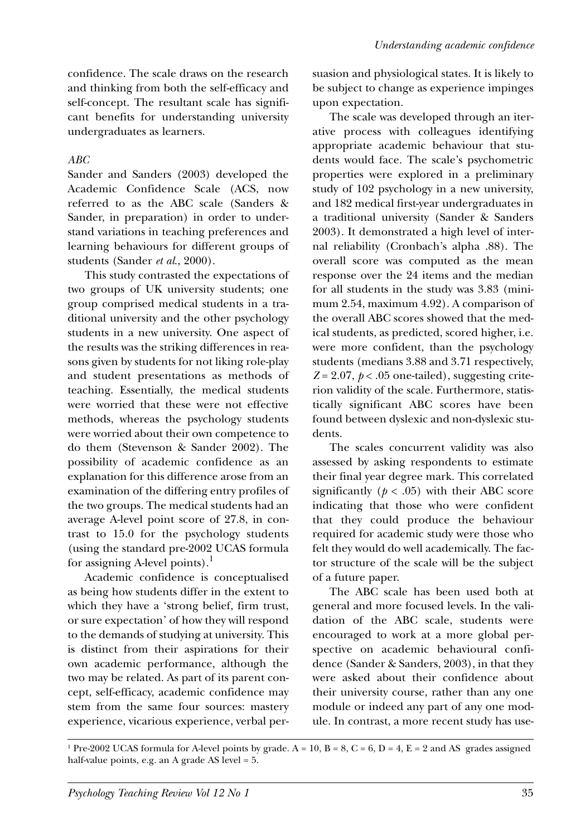confidence. The scale draws on the research and thinking from both the self-efficacy and self-concept. The resultant scale has significant benefits for understanding university undergraduates as learners.

#### *ABC*

Sander and Sanders (2003) developed the Academic Confidence Scale (ACS, now referred to as the ABC scale (Sanders & Sander, in preparation) in order to understand variations in teaching preferences and learning behaviours for different groups of students (Sander *et al*., 2000).

This study contrasted the expectations of two groups of UK university students; one group comprised medical students in a traditional university and the other psychology students in a new university. One aspect of the results was the striking differences in reasons given by students for not liking role-play and student presentations as methods of teaching. Essentially, the medical students were worried that these were not effective methods, whereas the psychology students were worried about their own competence to do them (Stevenson & Sander 2002). The possibility of academic confidence as an explanation for this difference arose from an examination of the differing entry profiles of the two groups. The medical students had an average A-level point score of 27.8, in contrast to 15.0 for the psychology students (using the standard pre-2002 UCAS formula for assigning A-level points).<sup>1</sup>

Academic confidence is conceptualised as being how students differ in the extent to which they have a 'strong belief, firm trust, or sure expectation' of how they will respond to the demands of studying at university. This is distinct from their aspirations for their own academic performance, although the two may be related. As part of its parent concept, self-efficacy, academic confidence may stem from the same four sources: mastery experience, vicarious experience, verbal persuasion and physiological states. It is likely to be subject to change as experience impinges upon expectation.

The scale was developed through an iterative process with colleagues identifying appropriate academic behaviour that students would face. The scale's psychometric properties were explored in a preliminary study of 102 psychology in a new university, and 182 medical first-year undergraduates in a traditional university (Sander & Sanders 2003). It demonstrated a high level of internal reliability (Cronbach's alpha .88). The overall score was computed as the mean response over the 24 items and the median for all students in the study was 3.83 (minimum 2.54, maximum 4.92). A comparison of the overall ABC scores showed that the medical students, as predicted, scored higher, i.e. were more confident, than the psychology students (medians 3.88 and 3.71 respectively,  $Z = 2.07$ ,  $p < .05$  one-tailed), suggesting criterion validity of the scale. Furthermore, statistically significant ABC scores have been found between dyslexic and non-dyslexic students.

The scales concurrent validity was also assessed by asking respondents to estimate their final year degree mark. This correlated significantly  $(p < .05)$  with their ABC score indicating that those who were confident that they could produce the behaviour required for academic study were those who felt they would do well academically. The factor structure of the scale will be the subject of a future paper.

The ABC scale has been used both at general and more focused levels. In the validation of the ABC scale, students were encouraged to work at a more global perspective on academic behavioural confidence (Sander & Sanders, 2003), in that they were asked about their confidence about their university course, rather than any one module or indeed any part of any one module. In contrast, a more recent study has use-

<sup>1</sup> Pre-2002 UCAS formula for A-level points by grade. A = 10, B = 8, C = 6, D = 4, E = 2 and AS grades assigned half-value points, e.g. an A grade AS level = 5.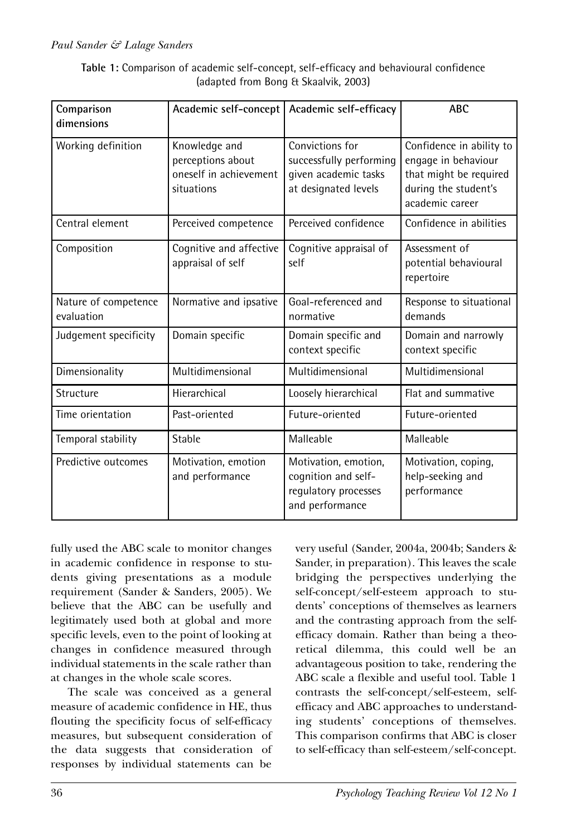#### *Paul Sander & Lalage Sanders*

| Table 1: Comparison of academic self-concept, self-efficacy and behavioural confidence |
|----------------------------------------------------------------------------------------|
| (adapted from Bong & Skaalvik, 2003)                                                   |

| Comparison<br>dimensions           | Academic self-concept                                                      | Academic self-efficacy                                                                     | <b>ABC</b>                                                                                                           |
|------------------------------------|----------------------------------------------------------------------------|--------------------------------------------------------------------------------------------|----------------------------------------------------------------------------------------------------------------------|
| Working definition                 | Knowledge and<br>perceptions about<br>oneself in achievement<br>situations | Convictions for<br>successfully performing<br>given academic tasks<br>at designated levels | Confidence in ability to<br>engage in behaviour<br>that might be required<br>during the student's<br>academic career |
| Central element                    | Perceived competence                                                       | Perceived confidence                                                                       | Confidence in abilities                                                                                              |
| Composition                        | Cognitive and affective<br>appraisal of self                               | Cognitive appraisal of<br>self                                                             | Assessment of<br>potential behavioural<br>repertoire                                                                 |
| Nature of competence<br>evaluation | Normative and ipsative                                                     | Goal-referenced and<br>normative                                                           | Response to situational<br>demands                                                                                   |
| Judgement specificity              | Domain specific                                                            | Domain specific and<br>context specific                                                    | Domain and narrowly<br>context specific                                                                              |
| Dimensionality                     | Multidimensional                                                           | Multidimensional                                                                           | Multidimensional                                                                                                     |
| Structure                          | Hierarchical                                                               | Loosely hierarchical                                                                       | Flat and summative                                                                                                   |
| Time orientation                   | Past-oriented                                                              | Future-oriented                                                                            | Future-oriented                                                                                                      |
| Temporal stability                 | Stable                                                                     | Malleable                                                                                  | Malleable                                                                                                            |
| Predictive outcomes                | Motivation, emotion<br>and performance                                     | Motivation, emotion,<br>cognition and self-<br>regulatory processes<br>and performance     | Motivation, coping,<br>help-seeking and<br>performance                                                               |

fully used the ABC scale to monitor changes in academic confidence in response to students giving presentations as a module requirement (Sander & Sanders, 2005). We believe that the ABC can be usefully and legitimately used both at global and more specific levels, even to the point of looking at changes in confidence measured through individual statements in the scale rather than at changes in the whole scale scores.

The scale was conceived as a general measure of academic confidence in HE, thus flouting the specificity focus of self-efficacy measures, but subsequent consideration of the data suggests that consideration of responses by individual statements can be

very useful (Sander, 2004a, 2004b; Sanders & Sander, in preparation). This leaves the scale bridging the perspectives underlying the self-concept/self-esteem approach to students' conceptions of themselves as learners and the contrasting approach from the selfefficacy domain. Rather than being a theoretical dilemma, this could well be an advantageous position to take, rendering the ABC scale a flexible and useful tool. Table 1 contrasts the self-concept/self-esteem, selfefficacy and ABC approaches to understanding students' conceptions of themselves. This comparison confirms that ABC is closer to self-efficacy than self-esteem/self-concept.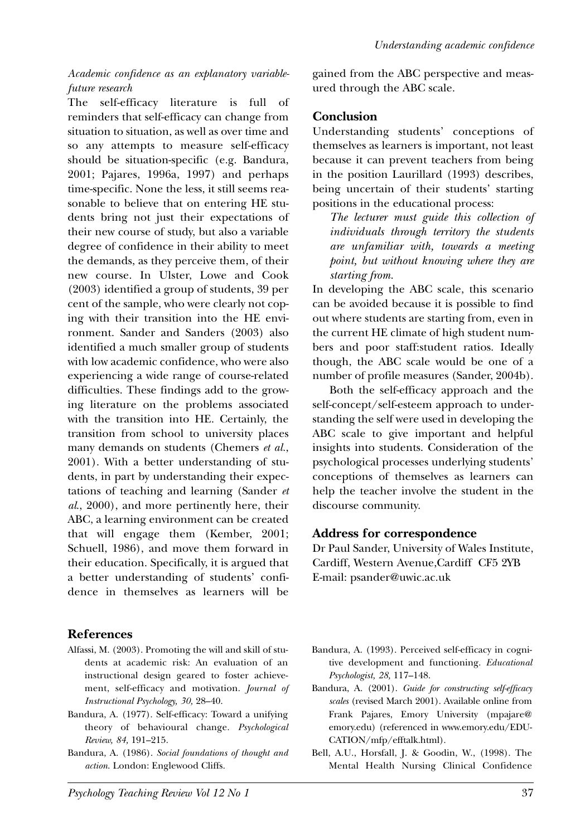#### *Academic confidence as an explanatory variablefuture research*

The self-efficacy literature is full of reminders that self-efficacy can change from situation to situation, as well as over time and so any attempts to measure self-efficacy should be situation-specific (e.g. Bandura, 2001; Pajares, 1996a, 1997) and perhaps time-specific. None the less, it still seems reasonable to believe that on entering HE students bring not just their expectations of their new course of study, but also a variable degree of confidence in their ability to meet the demands, as they perceive them, of their new course. In Ulster, Lowe and Cook (2003) identified a group of students, 39 per cent of the sample, who were clearly not coping with their transition into the HE environment. Sander and Sanders (2003) also identified a much smaller group of students with low academic confidence, who were also experiencing a wide range of course-related difficulties. These findings add to the growing literature on the problems associated with the transition into HE. Certainly, the transition from school to university places many demands on students (Chemers *et al.*, 2001). With a better understanding of students, in part by understanding their expectations of teaching and learning (Sander *et al*., 2000), and more pertinently here, their ABC, a learning environment can be created that will engage them (Kember, 2001; Schuell, 1986), and move them forward in their education. Specifically, it is argued that a better understanding of students' confidence in themselves as learners will be

## **References**

- Alfassi, M. (2003). Promoting the will and skill of students at academic risk: An evaluation of an instructional design geared to foster achievement, self-efficacy and motivation. *Journal of Instructional Psychology, 30,* 28–40.
- Bandura, A. (1977). Self-efficacy: Toward a unifying theory of behavioural change. *Psychological Review, 84,* 191–215.
- Bandura, A. (1986). *Social foundations of thought and action*. London: Englewood Cliffs.

gained from the ABC perspective and measured through the ABC scale.

### **Conclusion**

Understanding students' conceptions of themselves as learners is important, not least because it can prevent teachers from being in the position Laurillard (1993) describes, being uncertain of their students' starting positions in the educational process:

*The lecturer must guide this collection of individuals through territory the students are unfamiliar with, towards a meeting point, but without knowing where they are starting from.*

In developing the ABC scale, this scenario can be avoided because it is possible to find out where students are starting from, even in the current HE climate of high student numbers and poor staff:student ratios. Ideally though, the ABC scale would be one of a number of profile measures (Sander, 2004b).

Both the self-efficacy approach and the self-concept/self-esteem approach to understanding the self were used in developing the ABC scale to give important and helpful insights into students. Consideration of the psychological processes underlying students' conceptions of themselves as learners can help the teacher involve the student in the discourse community.

#### **Address for correspondence**

Dr Paul Sander, University of Wales Institute, Cardiff, Western Avenue,Cardiff CF5 2YB E-mail: psander@uwic.ac.uk

- Bandura, A. (1993). Perceived self-efficacy in cognitive development and functioning. *Educational Psychologist, 28,* 117–148.
- Bandura, A. (2001). *Guide for constructing self-efficacy scales* (revised March 2001). Available online from Frank Pajares, Emory University (mpajare@ emory.edu) (referenced in www.emory.edu/EDU-CATION/mfp/efftalk.html).
- Bell, A.U., Horsfall, J. & Goodin, W., (1998). The Mental Health Nursing Clinical Confidence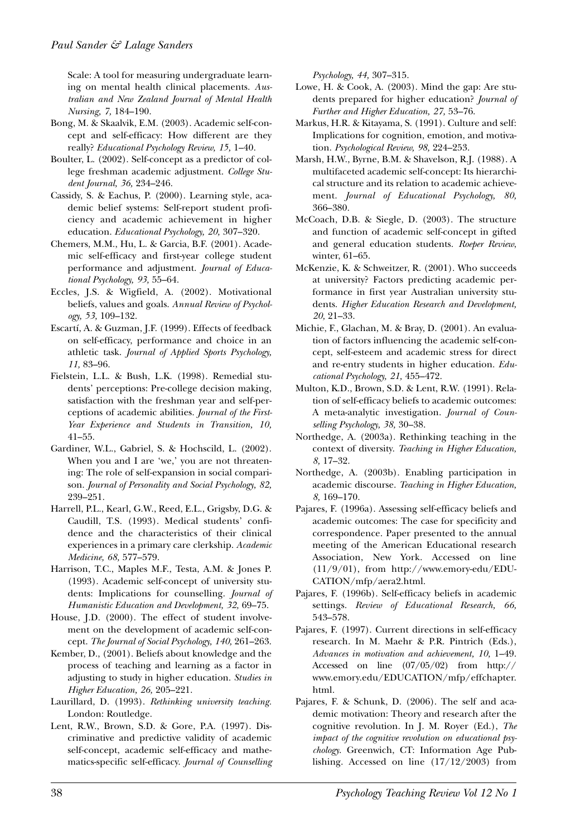Scale: A tool for measuring undergraduate learning on mental health clinical placements. *Australian and New Zealand Journal of Mental Health Nursing, 7,* 184–190.

- Bong, M. & Skaalvik, E.M. (2003). Academic self-concept and self-efficacy: How different are they really? *Educational Psychology Review, 15,* 1–40.
- Boulter, L. (2002). Self-concept as a predictor of college freshman academic adjustment. *College Student Journal, 36,* 234–246.
- Cassidy, S. & Eachus, P. (2000). Learning style, academic belief systems: Self-report student proficiency and academic achievement in higher education. *Educational Psychology, 20,* 307–320.
- Chemers, M.M., Hu, L. & Garcia, B.F. (2001). Academic self-efficacy and first-year college student performance and adjustment. *Journal of Educational Psychology, 93,* 55–64.
- Eccles, J.S. & Wigfield, A. (2002). Motivational beliefs, values and goals. *Annual Review of Psychology, 53,* 109–132.
- Escartí, A. & Guzman, J.F. (1999). Effects of feedback on self-efficacy, performance and choice in an athletic task. *Journal of Applied Sports Psychology, 11,* 83–96.
- Fielstein, L.L. & Bush, L.K. (1998). Remedial students' perceptions: Pre-college decision making, satisfaction with the freshman year and self-perceptions of academic abilities. *Journal of the First-Year Experience and Students in Transition, 10,* 41–55.
- Gardiner, W.L., Gabriel, S. & Hochscild, L. (2002). When you and I are 'we,' you are not threatening: The role of self-expansion in social comparison. *Journal of Personality and Social Psychology, 82,* 239–251.
- Harrell, P.L., Kearl, G.W., Reed, E.L., Grigsby, D.G. & Caudill, T.S. (1993). Medical students' confidence and the characteristics of their clinical experiences in a primary care clerkship. *Academic Medicine, 68,* 577–579.
- Harrison, T.C., Maples M.F., Testa, A.M. & Jones P. (1993). Academic self-concept of university students: Implications for counselling. *Journal of Humanistic Education and Development, 32,* 69–75.
- House, J.D. (2000). The effect of student involvement on the development of academic self-concept. *The Journal of Social Psychology, 140,* 261–263.
- Kember, D., (2001). Beliefs about knowledge and the process of teaching and learning as a factor in adjusting to study in higher education. *Studies in Higher Education, 26,* 205–221.
- Laurillard, D. (1993). *Rethinking university teaching.* London: Routledge.
- Lent, R.W., Brown, S.D. & Gore, P.A. (1997). Discriminative and predictive validity of academic self-concept, academic self-efficacy and mathematics-specific self-efficacy. *Journal of Counselling*

*Psychology, 44,* 307–315.

- Lowe, H. & Cook, A. (2003). Mind the gap: Are students prepared for higher education? *Journal of Further and Higher Education, 27,* 53–76.
- Markus, H.R. & Kitayama, S. (1991). Culture and self: Implications for cognition, emotion, and motivation. *Psychological Review, 98,* 224–253.
- Marsh, H.W., Byrne, B.M. & Shavelson, R.J. (1988). A multifaceted academic self-concept: Its hierarchical structure and its relation to academic achievement. *Journal of Educational Psychology, 80,* 366–380.
- McCoach, D.B. & Siegle, D. (2003). The structure and function of academic self-concept in gifted and general education students. *Roeper Review*, winter, 61–65.
- McKenzie, K. & Schweitzer, R. (2001). Who succeeds at university? Factors predicting academic performance in first year Australian university students. *Higher Education Research and Development, 20,* 21–33.
- Michie, F., Glachan, M. & Bray, D. (2001). An evaluation of factors influencing the academic self-concept, self-esteem and academic stress for direct and re-entry students in higher education. *Educational Psychology, 21,* 455–472.
- Multon, K.D., Brown, S.D. & Lent, R.W. (1991). Relation of self-efficacy beliefs to academic outcomes: A meta-analytic investigation. *Journal of Counselling Psychology, 38,* 30–38.
- Northedge, A. (2003a). Rethinking teaching in the context of diversity. *Teaching in Higher Education, 8,* 17–32.
- Northedge, A. (2003b). Enabling participation in academic discourse. *Teaching in Higher Education, 8,* 169–170.
- Pajares, F. (1996a). Assessing self-efficacy beliefs and academic outcomes: The case for specificity and correspondence. Paper presented to the annual meeting of the American Educational research Association, New York. Accessed on line (11/9/01), from http://www.emory-edu/EDU-CATION/mfp/aera2.html.
- Pajares, F. (1996b). Self-efficacy beliefs in academic settings. *Review of Educational Research, 66,* 543–578.
- Pajares, F. (1997). Current directions in self-efficacy research. In M. Maehr & P.R. Pintrich (Eds.), *Advances in motivation and achievement, 10,* 1–49. Accessed on line (07/05/02) from http:// www.emory.edu/EDUCATION/mfp/effchapter. html.
- Pajares, F. & Schunk, D. (2006). The self and academic motivation: Theory and research after the cognitive revolution. In J. M. Royer (Ed.), *The impact of the cognitive revolution on educational psychology*. Greenwich, CT: Information Age Publishing. Accessed on line (17/12/2003) from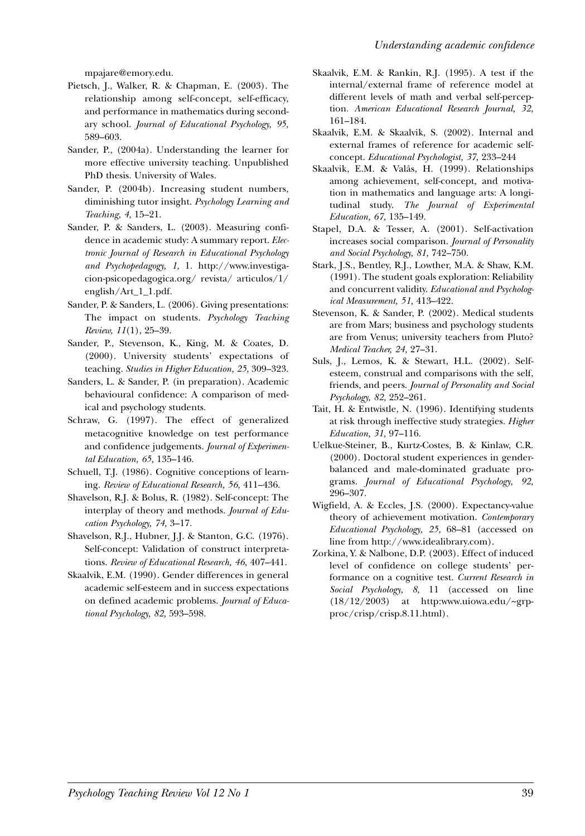mpajare@emory.edu.

- Pietsch, J., Walker, R. & Chapman, E. (2003). The relationship among self-concept, self-efficacy, and performance in mathematics during secondary school. *Journal of Educational Psychology, 95,* 589–603.
- Sander, P., (2004a). Understanding the learner for more effective university teaching. Unpublished PhD thesis. University of Wales.
- Sander, P. (2004b). Increasing student numbers, diminishing tutor insight. *Psychology Learning and Teaching, 4,* 15–21.
- Sander, P. & Sanders, L. (2003). Measuring confidence in academic study: A summary report. *Electronic Journal of Research in Educational Psychology and Psychopedagogy, 1,* 1. http://www.investigacion-psicopedagogica.org/ revista/ articulos/1/ english/Art\_1\_1.pdf.
- Sander, P. & Sanders, L. (2006). Giving presentations: The impact on students. *Psychology Teaching Review, 11*(1), 25–39.
- Sander, P., Stevenson, K., King, M. & Coates, D. (2000). University students' expectations of teaching. *Studies in Higher Education, 25,* 309–323.
- Sanders, L. & Sander, P. (in preparation). Academic behavioural confidence: A comparison of medical and psychology students.
- Schraw, G. (1997). The effect of generalized metacognitive knowledge on test performance and confidence judgements. *Journal of Experimental Education, 65,* 135–146.
- Schuell, T.J. (1986). Cognitive conceptions of learning. *Review of Educational Research, 56,* 411–436.
- Shavelson, R.J. & Bolus, R. (1982). Self-concept: The interplay of theory and methods. *Journal of Education Psychology, 74,* 3–17.
- Shavelson, R.J., Hubner, J.J. & Stanton, G.C. (1976). Self-concept: Validation of construct interpretations. *Review of Educational Research, 46,* 407–441.
- Skaalvik, E.M. (1990). Gender differences in general academic self-esteem and in success expectations on defined academic problems. *Journal of Educational Psychology, 82,* 593–598.
- Skaalvik, E.M. & Rankin, R.J. (1995). A test if the internal/external frame of reference model at different levels of math and verbal self-perception. *American Educational Research Journal, 32,* 161–184.
- Skaalvik, E.M. & Skaalvik, S. (2002). Internal and external frames of reference for academic selfconcept. *Educational Psychologist, 37,* 233–244
- Skaalvik, E.M. & Valås, H. (1999). Relationships among achievement, self-concept, and motivation in mathematics and language arts: A longitudinal study. *The Journal of Experimental Education, 67,* 135–149.
- Stapel, D.A. & Tesser, A. (2001). Self-activation increases social comparison. *Journal of Personality and Social Psychology, 81,* 742–750.
- Stark, J.S., Bentley, R.J., Lowther, M.A. & Shaw, K.M. (1991). The student goals exploration: Reliability and concurrent validity. *Educational and Psychological Measurement, 51,* 413–422.
- Stevenson, K. & Sander, P. (2002). Medical students are from Mars; business and psychology students are from Venus; university teachers from Pluto? *Medical Teacher, 24,* 27–31.
- Suls, J., Lemos, K. & Stewart, H.L. (2002). Selfesteem, construal and comparisons with the self, friends, and peers. *Journal of Personality and Social Psychology, 82,* 252–261.
- Tait, H. & Entwistle, N. (1996). Identifying students at risk through ineffective study strategies. *Higher Education, 31,* 97–116.
- Uelkue-Steiner, B., Kurtz-Costes, B. & Kinlaw, C.R. (2000). Doctoral student experiences in genderbalanced and male-dominated graduate programs. *Journal of Educational Psychology, 92,* 296–307.
- Wigfield, A. & Eccles, J.S. (2000). Expectancy-value theory of achievement motivation. *Contemporary Educational Psychology, 25,* 68–81 (accessed on line from http://www.idealibrary.com).
- Zorkina, Y. & Nalbone, D.P. (2003). Effect of induced level of confidence on college students' performance on a cognitive test. *Current Research in Social Psychology, 8,* 11 (accessed on line (18/12/2003) at http:www.uiowa.edu/~grpproc/crisp/crisp.8.11.html).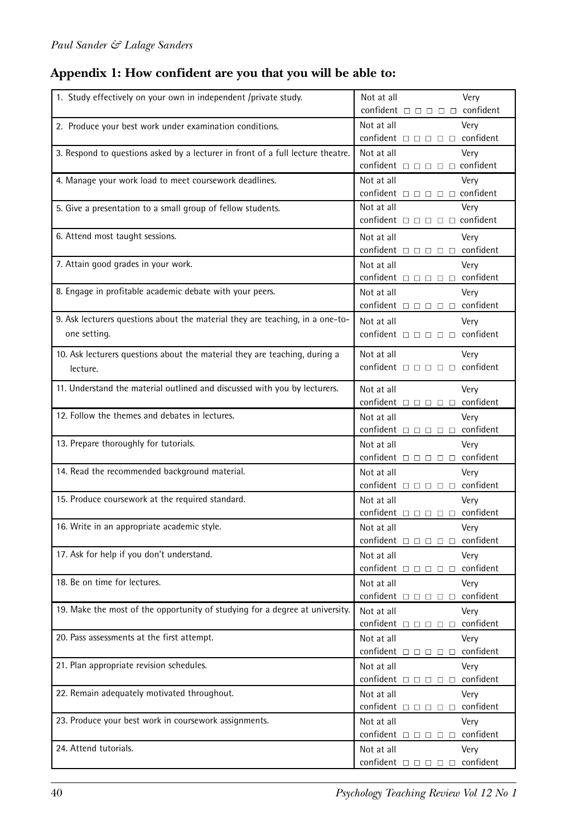# **Appendix 1: How confident are you that you will be able to:**

| 1. Study effectively on your own in independent /private study.                 | Not at all<br>Very                                                                          |
|---------------------------------------------------------------------------------|---------------------------------------------------------------------------------------------|
|                                                                                 | confident $\Box$ $\Box$ $\Box$ $\Box$ confident                                             |
| 2. Produce your best work under examination conditions.                         | Not at all<br>Very                                                                          |
|                                                                                 | confident $\Box$ $\Box$ $\Box$ $\Box$ $\Box$ confident                                      |
| 3. Respond to questions asked by a lecturer in front of a full lecture theatre. | Not at all<br>Very                                                                          |
|                                                                                 | confident $\square$ $\square$ $\square$ $\square$ $\square$ confident                       |
| 4. Manage your work load to meet coursework deadlines.                          | Not at all<br>Very                                                                          |
|                                                                                 | confident $\square$ $\square$ $\square$ $\square$ $\square$ confident                       |
| 5. Give a presentation to a small group of fellow students.                     | Not at all<br>Very                                                                          |
|                                                                                 | confident $\Box$ $\Box$ $\Box$ $\Box$ confident                                             |
| 6. Attend most taught sessions.                                                 | Not at all<br>Very                                                                          |
|                                                                                 | confident $\Box$ $\Box$ $\Box$ $\Box$ $\Box$ confident                                      |
| 7. Attain good grades in your work.                                             | Not at all<br>Very                                                                          |
|                                                                                 | confident $\square$ $\square$ $\square$ $\square$ $\square$ confident                       |
| 8. Engage in profitable academic debate with your peers.                        | Very<br>Not at all                                                                          |
|                                                                                 | confident $\square$ $\square$ $\square$ $\square$ $\square$ confident                       |
| 9. Ask lecturers questions about the material they are teaching, in a one-to-   | Very<br>Not at all                                                                          |
| one setting.                                                                    | confident $\square$ $\square$ $\square$ $\square$ $\square$ confident                       |
| 10. Ask lecturers questions about the material they are teaching, during a      | Not at all<br>Very                                                                          |
| lecture.                                                                        | confident $\Box$ $\Box$ $\Box$ $\Box$ confident                                             |
|                                                                                 |                                                                                             |
| 11. Understand the material outlined and discussed with you by lecturers.       | Not at all<br>Very                                                                          |
|                                                                                 | confident $\Box$ $\Box$ $\Box$ $\Box$ confident                                             |
| 12. Follow the themes and debates in lectures.                                  | Not at all<br>Very                                                                          |
|                                                                                 | confident $\square$ $\square$ $\square$ $\square$ $\square$ confident                       |
| 13. Prepare thoroughly for tutorials.                                           | Not at all<br>Very                                                                          |
|                                                                                 | confident $\square$ $\square$ $\square$ $\square$ $\square$ confident                       |
| 14. Read the recommended background material.                                   | Not at all<br>Very                                                                          |
|                                                                                 | confident $\Box$ $\Box$ $\Box$ $\Box$ $\Box$ confident                                      |
| 15. Produce coursework at the required standard.                                | Not at all<br>Very                                                                          |
|                                                                                 | confident $\square$ $\square$ $\square$ $\square$ $\square$ confident                       |
| 16. Write in an appropriate academic style.                                     | Not at all<br>Very<br>confident $\square$ $\square$ $\square$ $\square$ $\square$ confident |
| 17. Ask for help if you don't understand.                                       |                                                                                             |
|                                                                                 | Not at all<br>Very<br>confident $\Box$ $\Box$ $\Box$ $\Box$ confident                       |
| 18. Be on time for lectures.                                                    | Not at all<br>Verv                                                                          |
|                                                                                 | confident $\square$ $\square$ $\square$ $\square$ $\square$ confident                       |
| 19. Make the most of the opportunity of studying for a degree at university.    | Not at all<br>Very                                                                          |
|                                                                                 | confident $\square$ $\square$ $\square$ $\square$ $\square$ confident                       |
| 20. Pass assessments at the first attempt.                                      | Not at all<br>Very                                                                          |
|                                                                                 | confident $\Box$ $\Box$ $\Box$ $\Box$ $\Box$ confident                                      |
| 21. Plan appropriate revision schedules.                                        | Not at all<br>Very                                                                          |
|                                                                                 | confident $\square$ $\square$ $\square$ $\square$ $\square$ confident                       |
| 22. Remain adequately motivated throughout.                                     | Not at all<br>Very                                                                          |
|                                                                                 | confident $\square$ $\square$ $\square$ $\square$ $\square$ confident                       |
| 23. Produce your best work in coursework assignments.                           | Not at all<br>Very                                                                          |
|                                                                                 | confident $\square$ $\square$ $\square$ $\square$ $\square$ confident                       |
| 24. Attend tutorials.                                                           | Not at all<br>Very                                                                          |
|                                                                                 | confident $\square$ $\square$ $\square$ $\square$ $\square$ confident                       |
|                                                                                 |                                                                                             |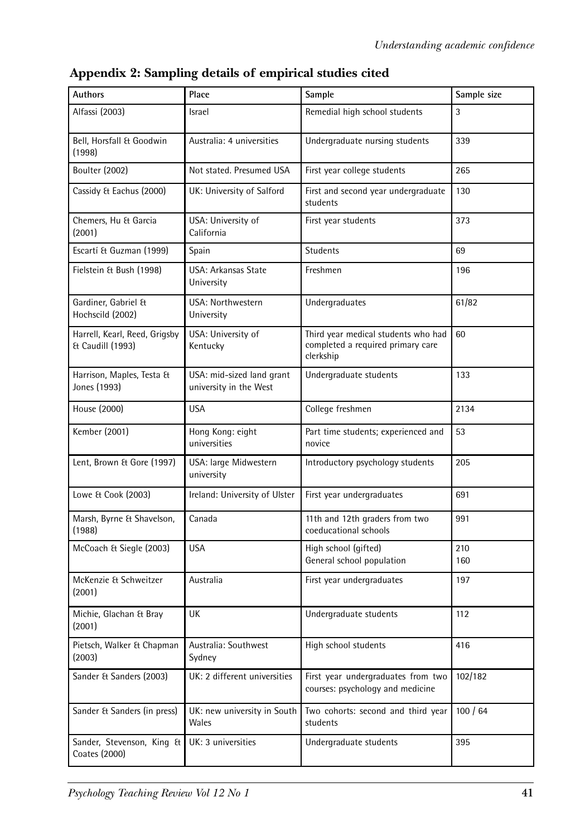| <b>Authors</b>                                    | Place                                               | Sample                                                                                | Sample size |
|---------------------------------------------------|-----------------------------------------------------|---------------------------------------------------------------------------------------|-------------|
| Alfassi (2003)                                    | Israel                                              | Remedial high school students                                                         | 3           |
| Bell, Horsfall & Goodwin<br>(1998)                | Australia: 4 universities                           | Undergraduate nursing students                                                        | 339         |
| <b>Boulter (2002)</b>                             | Not stated. Presumed USA                            | First year college students                                                           | 265         |
| Cassidy & Eachus (2000)                           | UK: University of Salford                           | First and second year undergraduate<br>students                                       | 130         |
| Chemers, Hu & Garcia<br>(2001)                    | USA: University of<br>California                    | First year students                                                                   | 373         |
| Escartí & Guzman (1999)                           | Spain                                               | <b>Students</b>                                                                       | 69          |
| Fielstein & Bush (1998)                           | USA: Arkansas State<br>University                   | Freshmen                                                                              | 196         |
| Gardiner, Gabriel &<br>Hochscild (2002)           | USA: Northwestern<br>University                     | Undergraduates                                                                        | 61/82       |
| Harrell, Kearl, Reed, Grigsby<br>& Caudill (1993) | USA: University of<br>Kentucky                      | Third year medical students who had<br>completed a required primary care<br>clerkship | 60          |
| Harrison, Maples, Testa &<br>Jones (1993)         | USA: mid-sized land grant<br>university in the West | Undergraduate students                                                                | 133         |
| House (2000)                                      | <b>USA</b>                                          | College freshmen                                                                      | 2134        |
| Kember (2001)                                     | Hong Kong: eight<br>universities                    | Part time students; experienced and<br>novice                                         | 53          |
| Lent, Brown & Gore (1997)                         | USA: large Midwestern<br>university                 | Introductory psychology students                                                      | 205         |
| Lowe & Cook (2003)                                | Ireland: University of Ulster                       | First year undergraduates                                                             | 691         |
| Marsh, Byrne & Shavelson,<br>(1988)               | Canada                                              | 11th and 12th graders from two<br>coeducational schools                               | 991         |
| McCoach & Siegle (2003)                           | <b>USA</b>                                          | High school (gifted)<br>General school population                                     | 210<br>160  |
| McKenzie & Schweitzer<br>(2001)                   | Australia                                           | First year undergraduates                                                             | 197         |
| Michie, Glachan & Bray<br>(2001)                  | UK                                                  | Undergraduate students                                                                | 112         |
| Pietsch, Walker & Chapman<br>(2003)               | Australia: Southwest<br>Sydney                      | High school students                                                                  | 416         |
| Sander & Sanders (2003)                           | UK: 2 different universities                        | First year undergraduates from two<br>courses: psychology and medicine                | 102/182     |
| Sander & Sanders (in press)                       | UK: new university in South<br>Wales                | Two cohorts: second and third year<br>students                                        | 100/64      |
| Sander, Stevenson, King &<br>Coates (2000)        | UK: 3 universities                                  | Undergraduate students                                                                | 395         |

**Appendix 2: Sampling details of empirical studies cited**